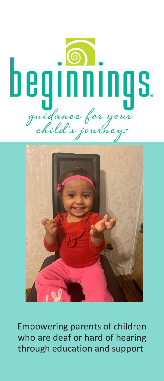



Empowering parents of children who are deaf or hard of hearing through education and support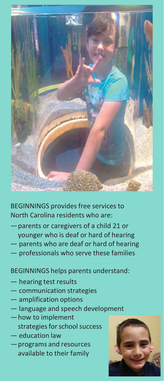

BEGINNINGS provides free services to North Carolina residents who are:

- —parents or caregivers of a child 21 or younger who is deaf or hard of hearing
- parents who are deaf or hard of hearing
- professionals who serve these families

BEGINNINGS helps parents understand:

- hearing test results
- communication strategies
- amplification options
- language and speech development
- —how to implement strategies for school success
- education law
- —programs and resources available to their family

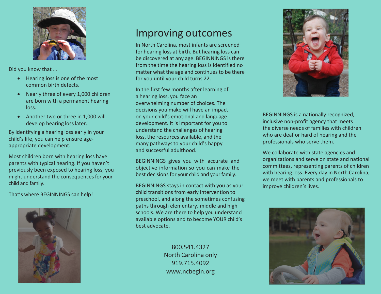

Did you know that …

- Hearing loss is one of the most common birth defects.
- Nearly three of every 1,000 children are born with a permanent hearing loss.
- Another two or three in 1,000 will develop hearing losslater.

By identifying a hearing loss early in your child's life, you can help ensure ageappropriate development.

Most children born with hearing loss have parents with typical hearing. If you haven't previously been exposed to hearing loss, you might understand the consequences for your child and family.

That's where BEGINNINGS can help!



## Improving outcomes

In North Carolina, most infants are screened for hearing loss at birth. But hearing loss can be discovered at any age. BEGINNINGS is there from the time the hearing loss is identified no matter what the age and continues to be there for you until your child turns 22.

In the first few months after learning of a hearing loss, you face an overwhelming number of choices. The decisions you make will have an impact on your child's emotional and language development. It is important for you to understand the challenges of hearing loss, the resources available, and the many pathwaysto your child's happy and successful adulthood.

BEGINNINGS gives you with accurate and objective information so you can make the best decisions for your child and your family.

BEGINNINGS stays in contact with you as your child transitions from early intervention to preschool, and along the sometimes confusing paths through elementary, middle and high schools. We are there to help you understand available options and to become YOUR child's best advocate.

> 800.541.4327 North Carolina only 919.715.4092 [www.ncbegin.org](http://www.ncbegin.org/)



BEGINNINGS is a nationally recognized, inclusive non-profit agency that meets the diverse needs of families with children who are deaf or hard of hearing and the professionals who serve them.

We collaborate with state agencies and organizations and serve on state and national committees, representing parents of children with hearing loss. Every day in North Carolina, we meet with parents and professionals to improve children's lives.